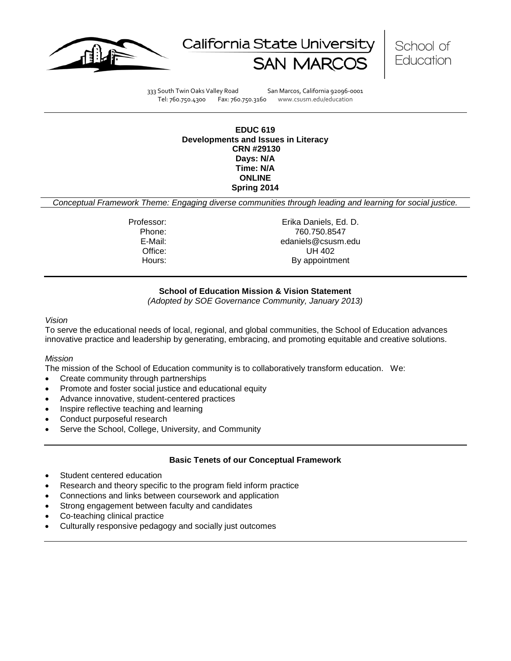





333 South Twin Oaks Valley Road San Marcos, California 92096-0001 Tel: 760.750.4300 Fax: 760.750.3160 www.csusm.edu/education

**EDUC 619 Developments and Issues in Literacy CRN #29130 Days: N/A Time: N/A ONLINE Spring 2014** 

*Conceptual Framework Theme: Engaging diverse communities through leading and learning for social justice.*

Professor: Erika Daniels, Ed. D. Phone: 760.750.8547<br>E-Mail: 760.750.8547<br>E-Mail: 760.750.8547 edaniels@csusm.edu Office: UH 402 Hours: By appointment

# **School of Education Mission & Vision Statement**

*(Adopted by SOE Governance Community, January 2013)*

#### *Vision*

To serve the educational needs of local, regional, and global communities, the School of Education advances innovative practice and leadership by generating, embracing, and promoting equitable and creative solutions.

# *Mission*

The mission of the School of Education community is to collaboratively transform education. We:

- Create community through partnerships
- Promote and foster social justice and educational equity
- Advance innovative, student-centered practices
- Inspire reflective teaching and learning
- Conduct purposeful research
- Serve the School, College, University, and Community

# **Basic Tenets of our Conceptual Framework**

- Student centered education
- Research and theory specific to the program field inform practice
- Connections and links between coursework and application
- Strong engagement between faculty and candidates
- Co-teaching clinical practice
- Culturally responsive pedagogy and socially just outcomes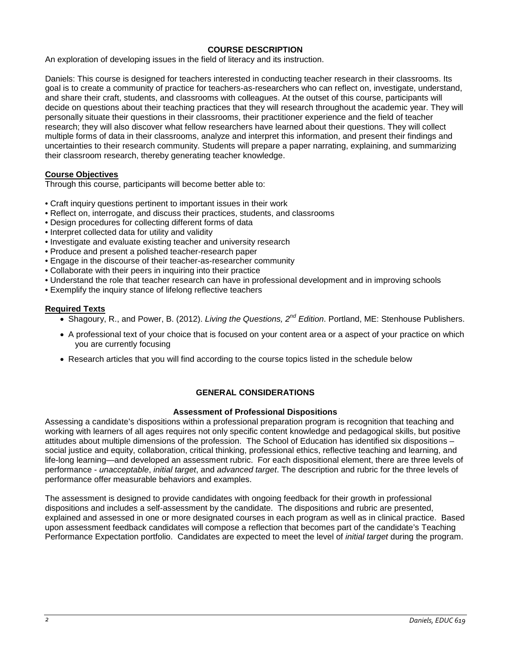# **COURSE DESCRIPTION**

An exploration of developing issues in the field of literacy and its instruction.

Daniels: This course is designed for teachers interested in conducting teacher research in their classrooms. Its goal is to create a community of practice for teachers-as-researchers who can reflect on, investigate, understand, and share their craft, students, and classrooms with colleagues. At the outset of this course, participants will decide on questions about their teaching practices that they will research throughout the academic year. They will personally situate their questions in their classrooms, their practitioner experience and the field of teacher research; they will also discover what fellow researchers have learned about their questions. They will collect multiple forms of data in their classrooms, analyze and interpret this information, and present their findings and uncertainties to their research community. Students will prepare a paper narrating, explaining, and summarizing their classroom research, thereby generating teacher knowledge.

# **Course Objectives**

Through this course, participants will become better able to:

- Craft inquiry questions pertinent to important issues in their work
- Reflect on, interrogate, and discuss their practices, students, and classrooms
- Design procedures for collecting different forms of data
- Interpret collected data for utility and validity
- Investigate and evaluate existing teacher and university research
- Produce and present a polished teacher-research paper
- Engage in the discourse of their teacher-as-researcher community
- Collaborate with their peers in inquiring into their practice
- Understand the role that teacher research can have in professional development and in improving schools
- Exemplify the inquiry stance of lifelong reflective teachers

# **Required Texts**

- Shagoury, R., and Power, B. (2012). *Living the Questions, 2nd Edition*. Portland, ME: Stenhouse Publishers.
- A professional text of your choice that is focused on your content area or a aspect of your practice on which you are currently focusing
- Research articles that you will find according to the course topics listed in the schedule below

# **GENERAL CONSIDERATIONS**

# **Assessment of Professional Dispositions**

Assessing a candidate's dispositions within a professional preparation program is recognition that teaching and working with learners of all ages requires not only specific content knowledge and pedagogical skills, but positive attitudes about multiple dimensions of the profession. The School of Education has identified six dispositions – social justice and equity, collaboration, critical thinking, professional ethics, reflective teaching and learning, and life-long learning—and developed an assessment rubric. For each dispositional element, there are three levels of performance - *unacceptable*, *initial target*, and *advanced target*. The description and rubric for the three levels of performance offer measurable behaviors and examples.

The assessment is designed to provide candidates with ongoing feedback for their growth in professional dispositions and includes a self-assessment by the candidate. The dispositions and rubric are presented, explained and assessed in one or more designated courses in each program as well as in clinical practice. Based upon assessment feedback candidates will compose a reflection that becomes part of the candidate's Teaching Performance Expectation portfolio. Candidates are expected to meet the level of *initial target* during the program.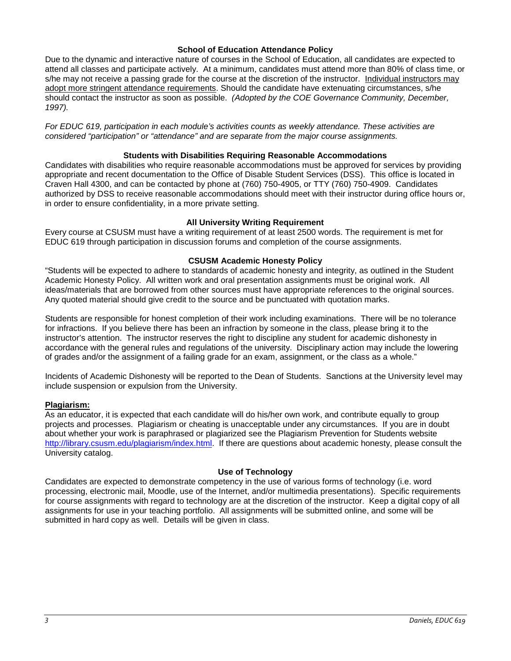# **School of Education Attendance Policy**

Due to the dynamic and interactive nature of courses in the School of Education, all candidates are expected to attend all classes and participate actively. At a minimum, candidates must attend more than 80% of class time, or s/he may not receive a passing grade for the course at the discretion of the instructor. Individual instructors may adopt more stringent attendance requirements. Should the candidate have extenuating circumstances, s/he should contact the instructor as soon as possible. *(Adopted by the COE Governance Community, December, 1997).*

*For EDUC 619, participation in each module's activities counts as weekly attendance. These activities are considered "participation" or "attendance" and are separate from the major course assignments.*

### **Students with Disabilities Requiring Reasonable Accommodations**

Candidates with disabilities who require reasonable accommodations must be approved for services by providing appropriate and recent documentation to the Office of Disable Student Services (DSS). This office is located in Craven Hall 4300, and can be contacted by phone at (760) 750-4905, or TTY (760) 750-4909. Candidates authorized by DSS to receive reasonable accommodations should meet with their instructor during office hours or, in order to ensure confidentiality, in a more private setting.

#### **All University Writing Requirement**

Every course at CSUSM must have a writing requirement of at least 2500 words. The requirement is met for EDUC 619 through participation in discussion forums and completion of the course assignments.

#### **CSUSM Academic Honesty Policy**

"Students will be expected to adhere to standards of academic honesty and integrity, as outlined in the Student Academic Honesty Policy. All written work and oral presentation assignments must be original work. All ideas/materials that are borrowed from other sources must have appropriate references to the original sources. Any quoted material should give credit to the source and be punctuated with quotation marks.

Students are responsible for honest completion of their work including examinations. There will be no tolerance for infractions. If you believe there has been an infraction by someone in the class, please bring it to the instructor's attention. The instructor reserves the right to discipline any student for academic dishonesty in accordance with the general rules and regulations of the university. Disciplinary action may include the lowering of grades and/or the assignment of a failing grade for an exam, assignment, or the class as a whole."

Incidents of Academic Dishonesty will be reported to the Dean of Students. Sanctions at the University level may include suspension or expulsion from the University.

#### **Plagiarism:**

As an educator, it is expected that each candidate will do his/her own work, and contribute equally to group projects and processes. Plagiarism or cheating is unacceptable under any circumstances. If you are in doubt about whether your work is paraphrased or plagiarized see the Plagiarism Prevention for Students website [http://library.csusm.edu/plagiarism/index.html.](http://library.csusm.edu/plagiarism/index.html) If there are questions about academic honesty, please consult the University catalog.

# **Use of Technology**

Candidates are expected to demonstrate competency in the use of various forms of technology (i.e. word processing, electronic mail, Moodle, use of the Internet, and/or multimedia presentations). Specific requirements for course assignments with regard to technology are at the discretion of the instructor. Keep a digital copy of all assignments for use in your teaching portfolio. All assignments will be submitted online, and some will be submitted in hard copy as well. Details will be given in class.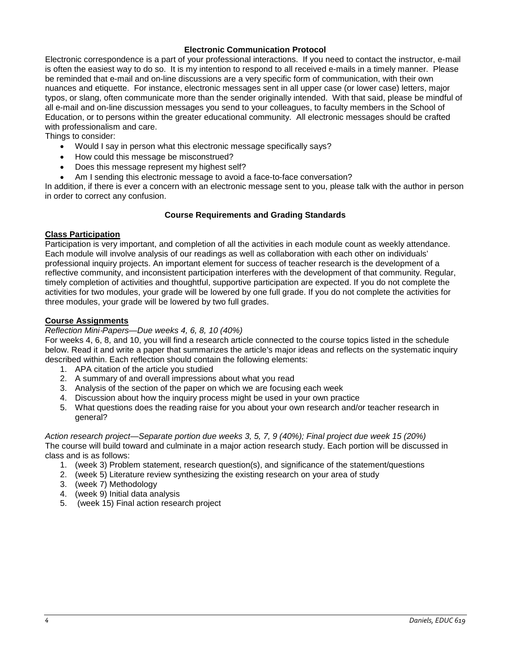# **Electronic Communication Protocol**

Electronic correspondence is a part of your professional interactions. If you need to contact the instructor, e-mail is often the easiest way to do so. It is my intention to respond to all received e-mails in a timely manner. Please be reminded that e-mail and on-line discussions are a very specific form of communication, with their own nuances and etiquette. For instance, electronic messages sent in all upper case (or lower case) letters, major typos, or slang, often communicate more than the sender originally intended. With that said, please be mindful of all e-mail and on-line discussion messages you send to your colleagues, to faculty members in the School of Education, or to persons within the greater educational community. All electronic messages should be crafted with professionalism and care.

Things to consider:

- Would I say in person what this electronic message specifically says?
- How could this message be misconstrued?
- Does this message represent my highest self?
- Am I sending this electronic message to avoid a face-to-face conversation?

In addition, if there is ever a concern with an electronic message sent to you, please talk with the author in person in order to correct any confusion.

#### **Course Requirements and Grading Standards**

# **Class Participation**

Participation is very important, and completion of all the activities in each module count as weekly attendance. Each module will involve analysis of our readings as well as collaboration with each other on individuals' professional inquiry projects. An important element for success of teacher research is the development of a reflective community, and inconsistent participation interferes with the development of that community. Regular, timely completion of activities and thoughtful, supportive participation are expected. If you do not complete the activities for two modules, your grade will be lowered by one full grade. If you do not complete the activities for three modules, your grade will be lowered by two full grades.

#### **Course Assignments**

#### *Reflection Mini*‐*Papers—Due weeks 4, 6, 8, 10 (40%)*

For weeks 4, 6, 8, and 10, you will find a research article connected to the course topics listed in the schedule below. Read it and write a paper that summarizes the article's major ideas and reflects on the systematic inquiry described within. Each reflection should contain the following elements:

- 1. APA citation of the article you studied
- 2. A summary of and overall impressions about what you read
- 3. Analysis of the section of the paper on which we are focusing each week
- 4. Discussion about how the inquiry process might be used in your own practice
- 5. What questions does the reading raise for you about your own research and/or teacher research in general?

*Action research project—Separate portion due weeks 3, 5, 7, 9 (40%); Final project due week 15 (20%)* The course will build toward and culminate in a major action research study. Each portion will be discussed in class and is as follows:

- 1. (week 3) Problem statement, research question(s), and significance of the statement/questions
- 2. (week 5) Literature review synthesizing the existing research on your area of study
- 3. (week 7) Methodology
- 4. (week 9) Initial data analysis
- 5. (week 15) Final action research project